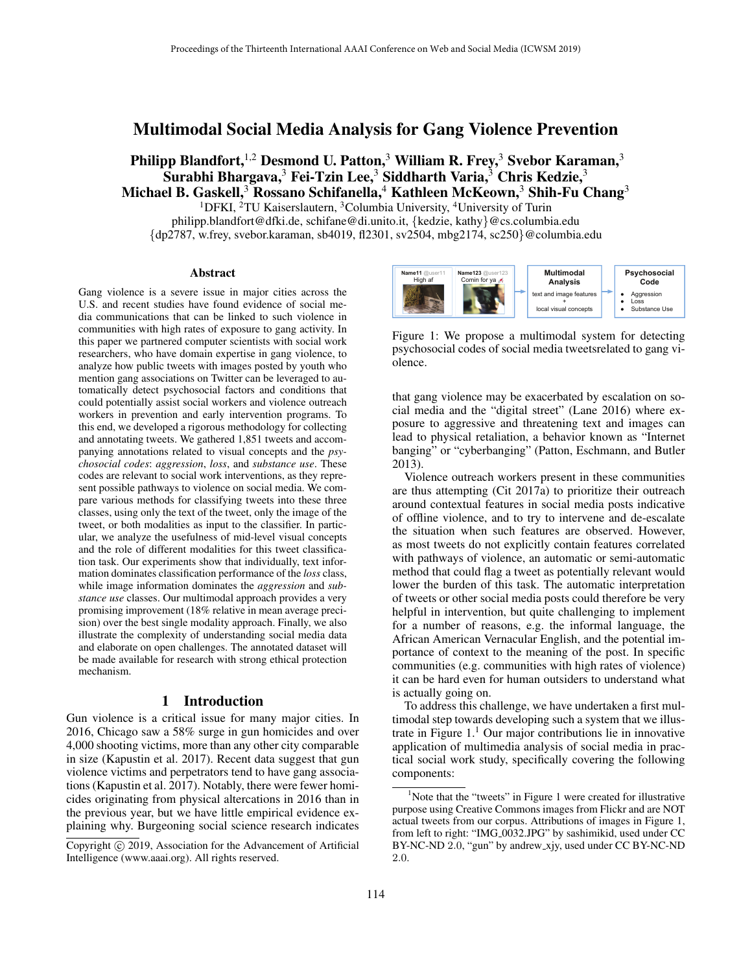# Multimodal Social Media Analysis for Gang Violence Prevention

Philipp Blandfort,<sup>1,2</sup> Desmond U. Patton,<sup>3</sup> William R. Frey,<sup>3</sup> Svebor Karaman,<sup>3</sup> Surabhi Bhargava,<sup>3</sup> Fei-Tzin Lee,<sup>3</sup> Siddharth Varia,<sup>3</sup> Chris Kedzie,<sup>3</sup> Michael B. Gaskell,<sup>3</sup> Rossano Schifanella,<sup>4</sup> Kathleen McKeown,<sup>3</sup> Shih-Fu Chang<sup>3</sup>

<sup>1</sup>DFKI, <sup>2</sup>TU Kaiserslautern, <sup>3</sup>Columbia University, <sup>4</sup>University of Turin philipp.blandfort@dfki.de, schifane@di.unito.it, {kedzie, kathy}@cs.columbia.edu {dp2787, w.frey, svebor.karaman, sb4019, fl2301, sv2504, mbg2174, sc250}@columbia.edu

#### Abstract

Gang violence is a severe issue in major cities across the U.S. and recent studies have found evidence of social media communications that can be linked to such violence in communities with high rates of exposure to gang activity. In this paper we partnered computer scientists with social work researchers, who have domain expertise in gang violence, to analyze how public tweets with images posted by youth who mention gang associations on Twitter can be leveraged to automatically detect psychosocial factors and conditions that could potentially assist social workers and violence outreach workers in prevention and early intervention programs. To this end, we developed a rigorous methodology for collecting and annotating tweets. We gathered 1,851 tweets and accompanying annotations related to visual concepts and the *psychosocial codes*: *aggression*, *loss*, and *substance use*. These codes are relevant to social work interventions, as they represent possible pathways to violence on social media. We compare various methods for classifying tweets into these three classes, using only the text of the tweet, only the image of the tweet, or both modalities as input to the classifier. In particular, we analyze the usefulness of mid-level visual concepts and the role of different modalities for this tweet classification task. Our experiments show that individually, text information dominates classification performance of the *loss* class, while image information dominates the *aggression* and *substance use* classes. Our multimodal approach provides a very promising improvement (18% relative in mean average precision) over the best single modality approach. Finally, we also illustrate the complexity of understanding social media data and elaborate on open challenges. The annotated dataset will be made available for research with strong ethical protection mechanism.

### 1 Introduction

Gun violence is a critical issue for many major cities. In 2016, Chicago saw a 58% surge in gun homicides and over 4,000 shooting victims, more than any other city comparable in size (Kapustin et al. 2017). Recent data suggest that gun violence victims and perpetrators tend to have gang associations (Kapustin et al. 2017). Notably, there were fewer homicides originating from physical altercations in 2016 than in the previous year, but we have little empirical evidence explaining why. Burgeoning social science research indicates



Figure 1: We propose a multimodal system for detecting psychosocial codes of social media tweetsrelated to gang violence.

that gang violence may be exacerbated by escalation on social media and the "digital street" (Lane 2016) where exposure to aggressive and threatening text and images can lead to physical retaliation, a behavior known as "Internet banging" or "cyberbanging" (Patton, Eschmann, and Butler 2013).

Violence outreach workers present in these communities are thus attempting (Cit 2017a) to prioritize their outreach around contextual features in social media posts indicative of offline violence, and to try to intervene and de-escalate the situation when such features are observed. However, as most tweets do not explicitly contain features correlated with pathways of violence, an automatic or semi-automatic method that could flag a tweet as potentially relevant would lower the burden of this task. The automatic interpretation of tweets or other social media posts could therefore be very helpful in intervention, but quite challenging to implement for a number of reasons, e.g. the informal language, the African American Vernacular English, and the potential importance of context to the meaning of the post. In specific communities (e.g. communities with high rates of violence) it can be hard even for human outsiders to understand what is actually going on.

To address this challenge, we have undertaken a first multimodal step towards developing such a system that we illustrate in Figure  $1<sup>1</sup>$  Our major contributions lie in innovative application of multimedia analysis of social media in practical social work study, specifically covering the following components:

Copyright (c) 2019, Association for the Advancement of Artificial Intelligence (www.aaai.org). All rights reserved.

<sup>&</sup>lt;sup>1</sup>Note that the "tweets" in Figure 1 were created for illustrative purpose using Creative Commons images from Flickr and are NOT actual tweets from our corpus. Attributions of images in Figure 1, from left to right: "IMG 0032.JPG" by sashimikid, used under CC BY-NC-ND 2.0, "gun" by andrew\_xjy, used under CC BY-NC-ND 2.0.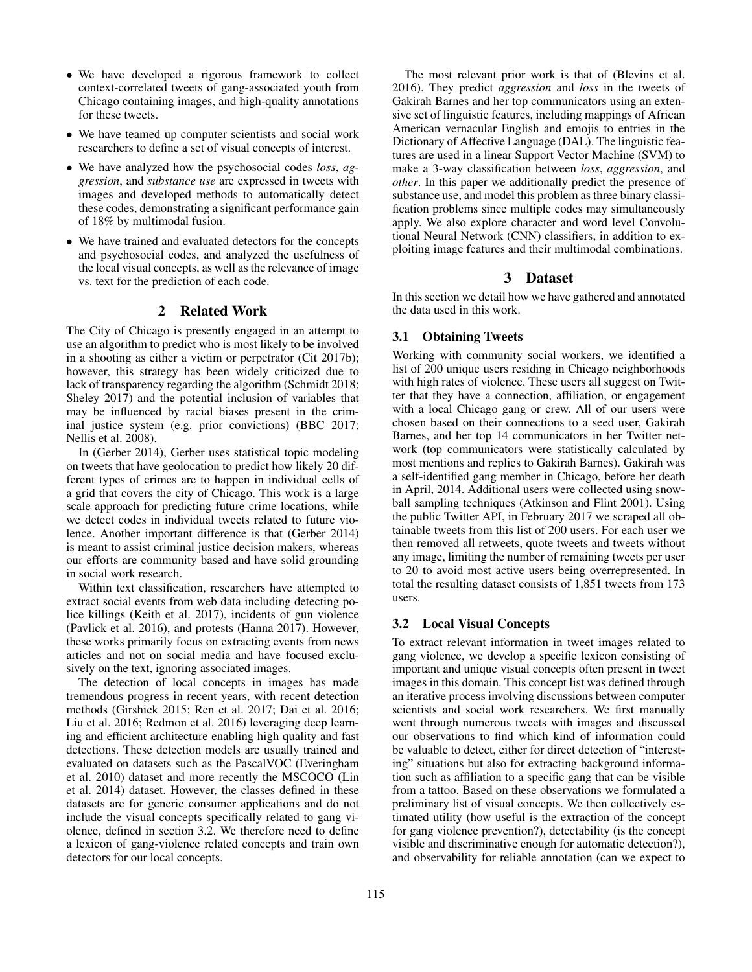- We have developed a rigorous framework to collect context-correlated tweets of gang-associated youth from Chicago containing images, and high-quality annotations for these tweets.
- We have teamed up computer scientists and social work researchers to define a set of visual concepts of interest.
- We have analyzed how the psychosocial codes *loss*, *aggression*, and *substance use* are expressed in tweets with images and developed methods to automatically detect these codes, demonstrating a significant performance gain of 18% by multimodal fusion.
- We have trained and evaluated detectors for the concepts and psychosocial codes, and analyzed the usefulness of the local visual concepts, as well as the relevance of image vs. text for the prediction of each code.

## 2 Related Work

The City of Chicago is presently engaged in an attempt to use an algorithm to predict who is most likely to be involved in a shooting as either a victim or perpetrator (Cit 2017b); however, this strategy has been widely criticized due to lack of transparency regarding the algorithm (Schmidt 2018; Sheley 2017) and the potential inclusion of variables that may be influenced by racial biases present in the criminal justice system (e.g. prior convictions) (BBC 2017; Nellis et al. 2008).

In (Gerber 2014), Gerber uses statistical topic modeling on tweets that have geolocation to predict how likely 20 different types of crimes are to happen in individual cells of a grid that covers the city of Chicago. This work is a large scale approach for predicting future crime locations, while we detect codes in individual tweets related to future violence. Another important difference is that (Gerber 2014) is meant to assist criminal justice decision makers, whereas our efforts are community based and have solid grounding in social work research.

Within text classification, researchers have attempted to extract social events from web data including detecting police killings (Keith et al. 2017), incidents of gun violence (Pavlick et al. 2016), and protests (Hanna 2017). However, these works primarily focus on extracting events from news articles and not on social media and have focused exclusively on the text, ignoring associated images.

The detection of local concepts in images has made tremendous progress in recent years, with recent detection methods (Girshick 2015; Ren et al. 2017; Dai et al. 2016; Liu et al. 2016; Redmon et al. 2016) leveraging deep learning and efficient architecture enabling high quality and fast detections. These detection models are usually trained and evaluated on datasets such as the PascalVOC (Everingham et al. 2010) dataset and more recently the MSCOCO (Lin et al. 2014) dataset. However, the classes defined in these datasets are for generic consumer applications and do not include the visual concepts specifically related to gang violence, defined in section 3.2. We therefore need to define a lexicon of gang-violence related concepts and train own detectors for our local concepts.

The most relevant prior work is that of (Blevins et al. 2016). They predict *aggression* and *loss* in the tweets of Gakirah Barnes and her top communicators using an extensive set of linguistic features, including mappings of African American vernacular English and emojis to entries in the Dictionary of Affective Language (DAL). The linguistic features are used in a linear Support Vector Machine (SVM) to make a 3-way classification between *loss*, *aggression*, and *other*. In this paper we additionally predict the presence of substance use, and model this problem as three binary classification problems since multiple codes may simultaneously apply. We also explore character and word level Convolutional Neural Network (CNN) classifiers, in addition to exploiting image features and their multimodal combinations.

### 3 Dataset

In this section we detail how we have gathered and annotated the data used in this work.

## 3.1 Obtaining Tweets

Working with community social workers, we identified a list of 200 unique users residing in Chicago neighborhoods with high rates of violence. These users all suggest on Twitter that they have a connection, affiliation, or engagement with a local Chicago gang or crew. All of our users were chosen based on their connections to a seed user, Gakirah Barnes, and her top 14 communicators in her Twitter network (top communicators were statistically calculated by most mentions and replies to Gakirah Barnes). Gakirah was a self-identified gang member in Chicago, before her death in April, 2014. Additional users were collected using snowball sampling techniques (Atkinson and Flint 2001). Using the public Twitter API, in February 2017 we scraped all obtainable tweets from this list of 200 users. For each user we then removed all retweets, quote tweets and tweets without any image, limiting the number of remaining tweets per user to 20 to avoid most active users being overrepresented. In total the resulting dataset consists of 1,851 tweets from 173 users.

### 3.2 Local Visual Concepts

To extract relevant information in tweet images related to gang violence, we develop a specific lexicon consisting of important and unique visual concepts often present in tweet images in this domain. This concept list was defined through an iterative process involving discussions between computer scientists and social work researchers. We first manually went through numerous tweets with images and discussed our observations to find which kind of information could be valuable to detect, either for direct detection of "interesting" situations but also for extracting background information such as affiliation to a specific gang that can be visible from a tattoo. Based on these observations we formulated a preliminary list of visual concepts. We then collectively estimated utility (how useful is the extraction of the concept for gang violence prevention?), detectability (is the concept visible and discriminative enough for automatic detection?), and observability for reliable annotation (can we expect to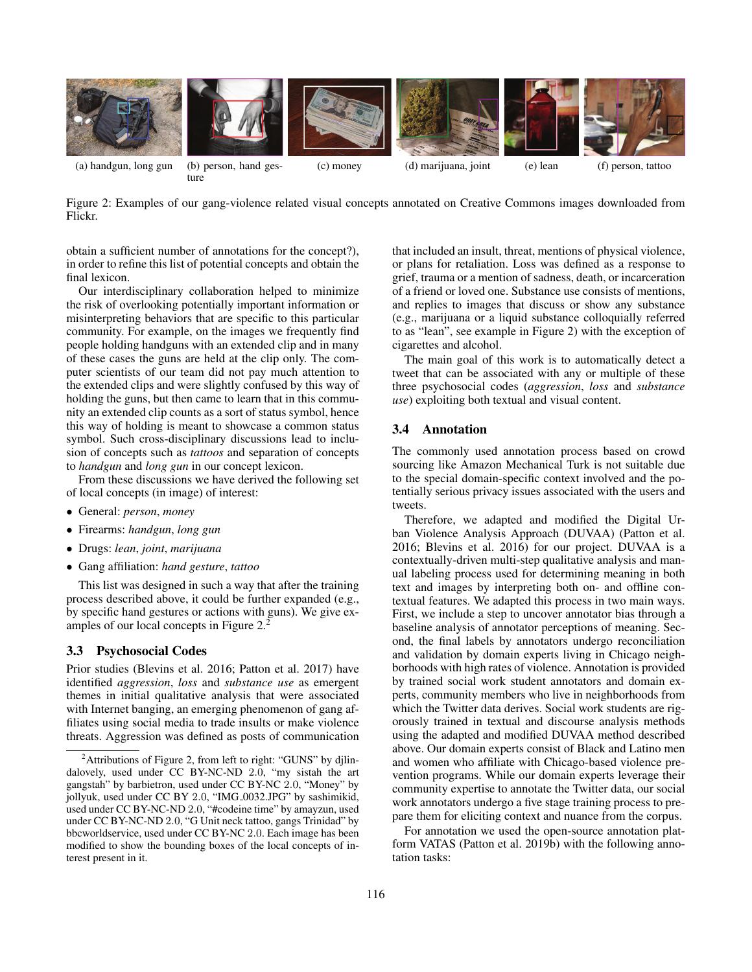

Figure 2: Examples of our gang-violence related visual concepts annotated on Creative Commons images downloaded from Flickr.

obtain a sufficient number of annotations for the concept?), in order to refine this list of potential concepts and obtain the final lexicon.

Our interdisciplinary collaboration helped to minimize the risk of overlooking potentially important information or misinterpreting behaviors that are specific to this particular community. For example, on the images we frequently find people holding handguns with an extended clip and in many of these cases the guns are held at the clip only. The computer scientists of our team did not pay much attention to the extended clips and were slightly confused by this way of holding the guns, but then came to learn that in this community an extended clip counts as a sort of status symbol, hence this way of holding is meant to showcase a common status symbol. Such cross-disciplinary discussions lead to inclusion of concepts such as *tattoos* and separation of concepts to *handgun* and *long gun* in our concept lexicon.

From these discussions we have derived the following set of local concepts (in image) of interest:

- General: *person*, *money*
- Firearms: *handgun*, *long gun*
- Drugs: *lean*, *joint*, *marijuana*
- Gang affiliation: *hand gesture*, *tattoo*

This list was designed in such a way that after the training process described above, it could be further expanded (e.g., by specific hand gestures or actions with guns). We give examples of our local concepts in Figure 2.<sup>2</sup>

### 3.3 Psychosocial Codes

Prior studies (Blevins et al. 2016; Patton et al. 2017) have identified *aggression*, *loss* and *substance use* as emergent themes in initial qualitative analysis that were associated with Internet banging, an emerging phenomenon of gang affiliates using social media to trade insults or make violence threats. Aggression was defined as posts of communication

that included an insult, threat, mentions of physical violence, or plans for retaliation. Loss was defined as a response to grief, trauma or a mention of sadness, death, or incarceration of a friend or loved one. Substance use consists of mentions, and replies to images that discuss or show any substance (e.g., marijuana or a liquid substance colloquially referred to as "lean", see example in Figure 2) with the exception of cigarettes and alcohol.

The main goal of this work is to automatically detect a tweet that can be associated with any or multiple of these three psychosocial codes (*aggression*, *loss* and *substance use*) exploiting both textual and visual content.

#### 3.4 Annotation

The commonly used annotation process based on crowd sourcing like Amazon Mechanical Turk is not suitable due to the special domain-specific context involved and the potentially serious privacy issues associated with the users and tweets.

Therefore, we adapted and modified the Digital Urban Violence Analysis Approach (DUVAA) (Patton et al. 2016; Blevins et al. 2016) for our project. DUVAA is a contextually-driven multi-step qualitative analysis and manual labeling process used for determining meaning in both text and images by interpreting both on- and offline contextual features. We adapted this process in two main ways. First, we include a step to uncover annotator bias through a baseline analysis of annotator perceptions of meaning. Second, the final labels by annotators undergo reconciliation and validation by domain experts living in Chicago neighborhoods with high rates of violence. Annotation is provided by trained social work student annotators and domain experts, community members who live in neighborhoods from which the Twitter data derives. Social work students are rigorously trained in textual and discourse analysis methods using the adapted and modified DUVAA method described above. Our domain experts consist of Black and Latino men and women who affiliate with Chicago-based violence prevention programs. While our domain experts leverage their community expertise to annotate the Twitter data, our social work annotators undergo a five stage training process to prepare them for eliciting context and nuance from the corpus.

For annotation we used the open-source annotation platform VATAS (Patton et al. 2019b) with the following annotation tasks:

 $2^2$ Attributions of Figure 2, from left to right: "GUNS" by djlindalovely, used under CC BY-NC-ND 2.0, "my sistah the art gangstah" by barbietron, used under CC BY-NC 2.0, "Money" by jollyuk, used under CC BY 2.0, "IMG<sub>-0032</sub>.JPG" by sashimikid, used under CC BY-NC-ND 2.0, "#codeine time" by amayzun, used under CC BY-NC-ND 2.0, "G Unit neck tattoo, gangs Trinidad" by bbcworldservice, used under CC BY-NC 2.0. Each image has been modified to show the bounding boxes of the local concepts of interest present in it.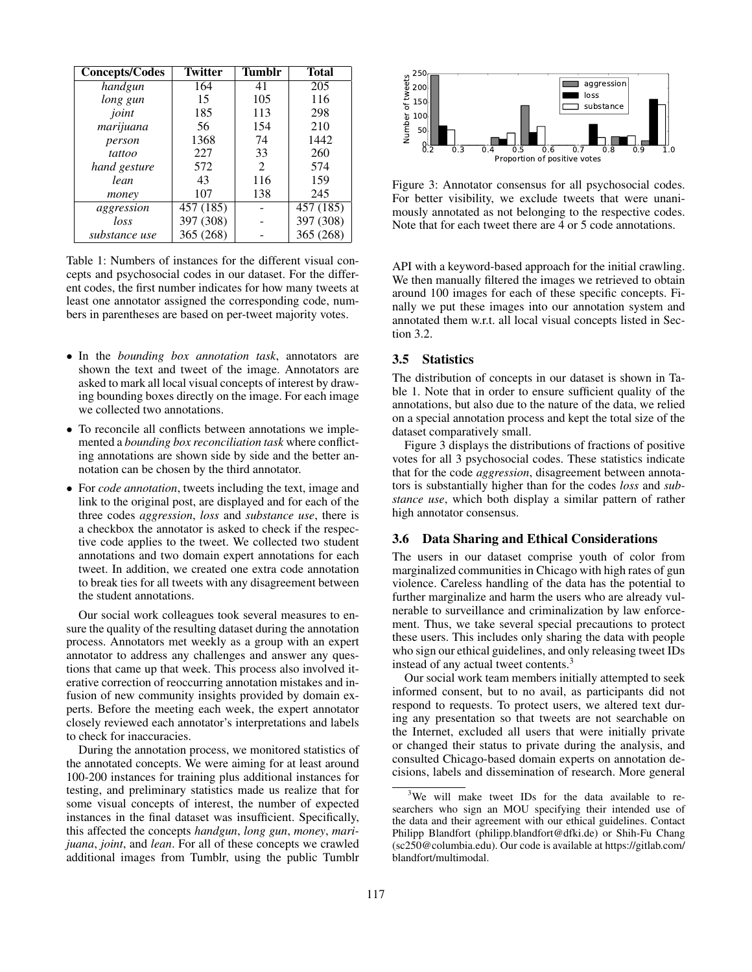| <b>Concepts/Codes</b> | <b>Twitter</b> | <b>Tumblr</b> | <b>Total</b> |
|-----------------------|----------------|---------------|--------------|
| handgun               | 164            | 41            | 205          |
| long gun              | 15             | 105           | 116          |
| joint                 | 185            | 113           | 298          |
| marijuana             | 56             | 154           | 210          |
| person                | 1368           | 74            | 1442         |
| tattoo                | 227            | 33            | 260          |
| hand gesture          | 572            | 2             | 574          |
| lean                  | 43             | 116           | 159          |
| money                 | 107            | 138           | 245          |
| aggression            | 457(185)       |               | 457(185)     |
| loss                  | 397 (308)      |               | 397 (308)    |
| substance use         | 365 (268)      |               | 365 (268)    |

Table 1: Numbers of instances for the different visual concepts and psychosocial codes in our dataset. For the different codes, the first number indicates for how many tweets at least one annotator assigned the corresponding code, numbers in parentheses are based on per-tweet majority votes.

- In the *bounding box annotation task*, annotators are shown the text and tweet of the image. Annotators are asked to mark all local visual concepts of interest by drawing bounding boxes directly on the image. For each image we collected two annotations.
- To reconcile all conflicts between annotations we implemented a *bounding box reconciliation task* where conflicting annotations are shown side by side and the better annotation can be chosen by the third annotator.
- For *code annotation*, tweets including the text, image and link to the original post, are displayed and for each of the three codes *aggression*, *loss* and *substance use*, there is a checkbox the annotator is asked to check if the respective code applies to the tweet. We collected two student annotations and two domain expert annotations for each tweet. In addition, we created one extra code annotation to break ties for all tweets with any disagreement between the student annotations.

Our social work colleagues took several measures to ensure the quality of the resulting dataset during the annotation process. Annotators met weekly as a group with an expert annotator to address any challenges and answer any questions that came up that week. This process also involved iterative correction of reoccurring annotation mistakes and infusion of new community insights provided by domain experts. Before the meeting each week, the expert annotator closely reviewed each annotator's interpretations and labels to check for inaccuracies.

During the annotation process, we monitored statistics of the annotated concepts. We were aiming for at least around 100-200 instances for training plus additional instances for testing, and preliminary statistics made us realize that for some visual concepts of interest, the number of expected instances in the final dataset was insufficient. Specifically, this affected the concepts *handgun*, *long gun*, *money*, *marijuana*, *joint*, and *lean*. For all of these concepts we crawled additional images from Tumblr, using the public Tumblr



Figure 3: Annotator consensus for all psychosocial codes. For better visibility, we exclude tweets that were unanimously annotated as not belonging to the respective codes. Note that for each tweet there are 4 or 5 code annotations.

API with a keyword-based approach for the initial crawling. We then manually filtered the images we retrieved to obtain around 100 images for each of these specific concepts. Finally we put these images into our annotation system and annotated them w.r.t. all local visual concepts listed in Section 3.2.

### 3.5 Statistics

The distribution of concepts in our dataset is shown in Table 1. Note that in order to ensure sufficient quality of the annotations, but also due to the nature of the data, we relied on a special annotation process and kept the total size of the dataset comparatively small.

Figure 3 displays the distributions of fractions of positive votes for all 3 psychosocial codes. These statistics indicate that for the code *aggression*, disagreement between annotators is substantially higher than for the codes *loss* and *substance use*, which both display a similar pattern of rather high annotator consensus.

## 3.6 Data Sharing and Ethical Considerations

The users in our dataset comprise youth of color from marginalized communities in Chicago with high rates of gun violence. Careless handling of the data has the potential to further marginalize and harm the users who are already vulnerable to surveillance and criminalization by law enforcement. Thus, we take several special precautions to protect these users. This includes only sharing the data with people who sign our ethical guidelines, and only releasing tweet IDs instead of any actual tweet contents.<sup>3</sup>

Our social work team members initially attempted to seek informed consent, but to no avail, as participants did not respond to requests. To protect users, we altered text during any presentation so that tweets are not searchable on the Internet, excluded all users that were initially private or changed their status to private during the analysis, and consulted Chicago-based domain experts on annotation decisions, labels and dissemination of research. More general

<sup>&</sup>lt;sup>3</sup>We will make tweet IDs for the data available to researchers who sign an MOU specifying their intended use of the data and their agreement with our ethical guidelines. Contact Philipp Blandfort (philipp.blandfort@dfki.de) or Shih-Fu Chang (sc250@columbia.edu). Our code is available at https://gitlab.com/ blandfort/multimodal.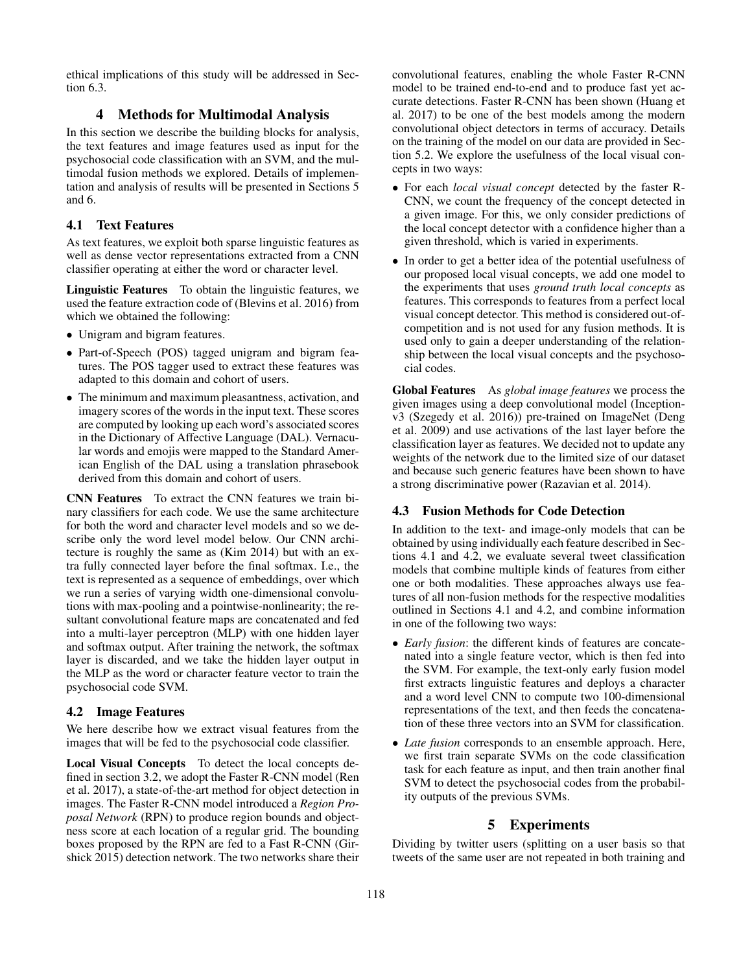ethical implications of this study will be addressed in Section 6.3.

## 4 Methods for Multimodal Analysis

In this section we describe the building blocks for analysis, the text features and image features used as input for the psychosocial code classification with an SVM, and the multimodal fusion methods we explored. Details of implementation and analysis of results will be presented in Sections 5 and 6.

## 4.1 Text Features

As text features, we exploit both sparse linguistic features as well as dense vector representations extracted from a CNN classifier operating at either the word or character level.

Linguistic Features To obtain the linguistic features, we used the feature extraction code of (Blevins et al. 2016) from which we obtained the following:

- Unigram and bigram features.
- Part-of-Speech (POS) tagged unigram and bigram features. The POS tagger used to extract these features was adapted to this domain and cohort of users.
- The minimum and maximum pleasantness, activation, and imagery scores of the words in the input text. These scores are computed by looking up each word's associated scores in the Dictionary of Affective Language (DAL). Vernacular words and emojis were mapped to the Standard American English of the DAL using a translation phrasebook derived from this domain and cohort of users.

CNN Features To extract the CNN features we train binary classifiers for each code. We use the same architecture for both the word and character level models and so we describe only the word level model below. Our CNN architecture is roughly the same as (Kim 2014) but with an extra fully connected layer before the final softmax. I.e., the text is represented as a sequence of embeddings, over which we run a series of varying width one-dimensional convolutions with max-pooling and a pointwise-nonlinearity; the resultant convolutional feature maps are concatenated and fed into a multi-layer perceptron (MLP) with one hidden layer and softmax output. After training the network, the softmax layer is discarded, and we take the hidden layer output in the MLP as the word or character feature vector to train the psychosocial code SVM.

### 4.2 Image Features

We here describe how we extract visual features from the images that will be fed to the psychosocial code classifier.

Local Visual Concepts To detect the local concepts defined in section 3.2, we adopt the Faster R-CNN model (Ren et al. 2017), a state-of-the-art method for object detection in images. The Faster R-CNN model introduced a *Region Proposal Network* (RPN) to produce region bounds and objectness score at each location of a regular grid. The bounding boxes proposed by the RPN are fed to a Fast R-CNN (Girshick 2015) detection network. The two networks share their

convolutional features, enabling the whole Faster R-CNN model to be trained end-to-end and to produce fast yet accurate detections. Faster R-CNN has been shown (Huang et al. 2017) to be one of the best models among the modern convolutional object detectors in terms of accuracy. Details on the training of the model on our data are provided in Section 5.2. We explore the usefulness of the local visual concepts in two ways:

- For each *local visual concept* detected by the faster R-CNN, we count the frequency of the concept detected in a given image. For this, we only consider predictions of the local concept detector with a confidence higher than a given threshold, which is varied in experiments.
- In order to get a better idea of the potential usefulness of our proposed local visual concepts, we add one model to the experiments that uses *ground truth local concepts* as features. This corresponds to features from a perfect local visual concept detector. This method is considered out-ofcompetition and is not used for any fusion methods. It is used only to gain a deeper understanding of the relationship between the local visual concepts and the psychosocial codes.

Global Features As *global image features* we process the given images using a deep convolutional model (Inceptionv3 (Szegedy et al. 2016)) pre-trained on ImageNet (Deng et al. 2009) and use activations of the last layer before the classification layer as features. We decided not to update any weights of the network due to the limited size of our dataset and because such generic features have been shown to have a strong discriminative power (Razavian et al. 2014).

### 4.3 Fusion Methods for Code Detection

In addition to the text- and image-only models that can be obtained by using individually each feature described in Sections 4.1 and 4.2, we evaluate several tweet classification models that combine multiple kinds of features from either one or both modalities. These approaches always use features of all non-fusion methods for the respective modalities outlined in Sections 4.1 and 4.2, and combine information in one of the following two ways:

- *Early fusion*: the different kinds of features are concatenated into a single feature vector, which is then fed into the SVM. For example, the text-only early fusion model first extracts linguistic features and deploys a character and a word level CNN to compute two 100-dimensional representations of the text, and then feeds the concatenation of these three vectors into an SVM for classification.
- *Late fusion* corresponds to an ensemble approach. Here, we first train separate SVMs on the code classification task for each feature as input, and then train another final SVM to detect the psychosocial codes from the probability outputs of the previous SVMs.

## 5 Experiments

Dividing by twitter users (splitting on a user basis so that tweets of the same user are not repeated in both training and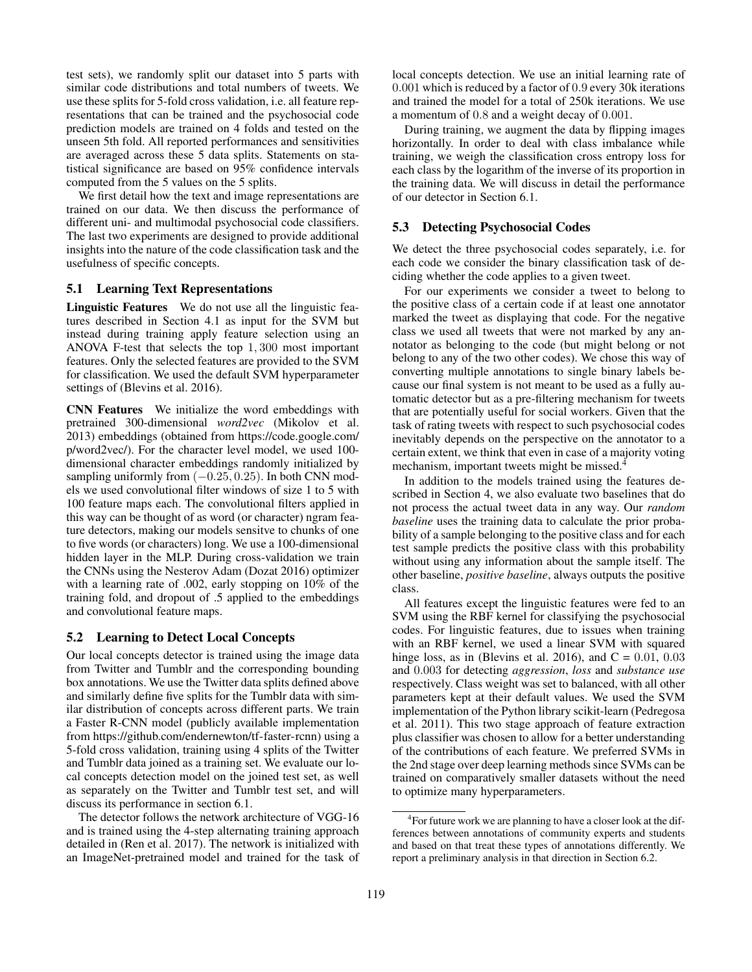test sets), we randomly split our dataset into 5 parts with similar code distributions and total numbers of tweets. We use these splits for 5-fold cross validation, i.e. all feature representations that can be trained and the psychosocial code prediction models are trained on 4 folds and tested on the unseen 5th fold. All reported performances and sensitivities are averaged across these 5 data splits. Statements on statistical significance are based on 95% confidence intervals computed from the 5 values on the 5 splits.

We first detail how the text and image representations are trained on our data. We then discuss the performance of different uni- and multimodal psychosocial code classifiers. The last two experiments are designed to provide additional insights into the nature of the code classification task and the usefulness of specific concepts.

### 5.1 Learning Text Representations

Linguistic Features We do not use all the linguistic features described in Section 4.1 as input for the SVM but instead during training apply feature selection using an ANOVA F-test that selects the top 1, 300 most important features. Only the selected features are provided to the SVM for classification. We used the default SVM hyperparameter settings of (Blevins et al. 2016).

CNN Features We initialize the word embeddings with pretrained 300-dimensional *word2vec* (Mikolov et al. 2013) embeddings (obtained from https://code.google.com/ p/word2vec/). For the character level model, we used 100 dimensional character embeddings randomly initialized by sampling uniformly from  $(-0.25, 0.25)$ . In both CNN models we used convolutional filter windows of size 1 to 5 with 100 feature maps each. The convolutional filters applied in this way can be thought of as word (or character) ngram feature detectors, making our models sensitve to chunks of one to five words (or characters) long. We use a 100-dimensional hidden layer in the MLP. During cross-validation we train the CNNs using the Nesterov Adam (Dozat 2016) optimizer with a learning rate of .002, early stopping on 10% of the training fold, and dropout of .5 applied to the embeddings and convolutional feature maps.

## 5.2 Learning to Detect Local Concepts

Our local concepts detector is trained using the image data from Twitter and Tumblr and the corresponding bounding box annotations. We use the Twitter data splits defined above and similarly define five splits for the Tumblr data with similar distribution of concepts across different parts. We train a Faster R-CNN model (publicly available implementation from https://github.com/endernewton/tf-faster-rcnn) using a 5-fold cross validation, training using 4 splits of the Twitter and Tumblr data joined as a training set. We evaluate our local concepts detection model on the joined test set, as well as separately on the Twitter and Tumblr test set, and will discuss its performance in section 6.1.

The detector follows the network architecture of VGG-16 and is trained using the 4-step alternating training approach detailed in (Ren et al. 2017). The network is initialized with an ImageNet-pretrained model and trained for the task of local concepts detection. We use an initial learning rate of 0.001 which is reduced by a factor of 0.9 every 30k iterations and trained the model for a total of 250k iterations. We use a momentum of 0.8 and a weight decay of 0.001.

During training, we augment the data by flipping images horizontally. In order to deal with class imbalance while training, we weigh the classification cross entropy loss for each class by the logarithm of the inverse of its proportion in the training data. We will discuss in detail the performance of our detector in Section 6.1.

### 5.3 Detecting Psychosocial Codes

We detect the three psychosocial codes separately, i.e. for each code we consider the binary classification task of deciding whether the code applies to a given tweet.

For our experiments we consider a tweet to belong to the positive class of a certain code if at least one annotator marked the tweet as displaying that code. For the negative class we used all tweets that were not marked by any annotator as belonging to the code (but might belong or not belong to any of the two other codes). We chose this way of converting multiple annotations to single binary labels because our final system is not meant to be used as a fully automatic detector but as a pre-filtering mechanism for tweets that are potentially useful for social workers. Given that the task of rating tweets with respect to such psychosocial codes inevitably depends on the perspective on the annotator to a certain extent, we think that even in case of a majority voting mechanism, important tweets might be missed.<sup>4</sup>

In addition to the models trained using the features described in Section 4, we also evaluate two baselines that do not process the actual tweet data in any way. Our *random baseline* uses the training data to calculate the prior probability of a sample belonging to the positive class and for each test sample predicts the positive class with this probability without using any information about the sample itself. The other baseline, *positive baseline*, always outputs the positive class.

All features except the linguistic features were fed to an SVM using the RBF kernel for classifying the psychosocial codes. For linguistic features, due to issues when training with an RBF kernel, we used a linear SVM with squared hinge loss, as in (Blevins et al. 2016), and  $C = 0.01, 0.03$ and 0.003 for detecting *aggression*, *loss* and *substance use* respectively. Class weight was set to balanced, with all other parameters kept at their default values. We used the SVM implementation of the Python library scikit-learn (Pedregosa et al. 2011). This two stage approach of feature extraction plus classifier was chosen to allow for a better understanding of the contributions of each feature. We preferred SVMs in the 2nd stage over deep learning methods since SVMs can be trained on comparatively smaller datasets without the need to optimize many hyperparameters.

<sup>&</sup>lt;sup>4</sup> For future work we are planning to have a closer look at the differences between annotations of community experts and students and based on that treat these types of annotations differently. We report a preliminary analysis in that direction in Section 6.2.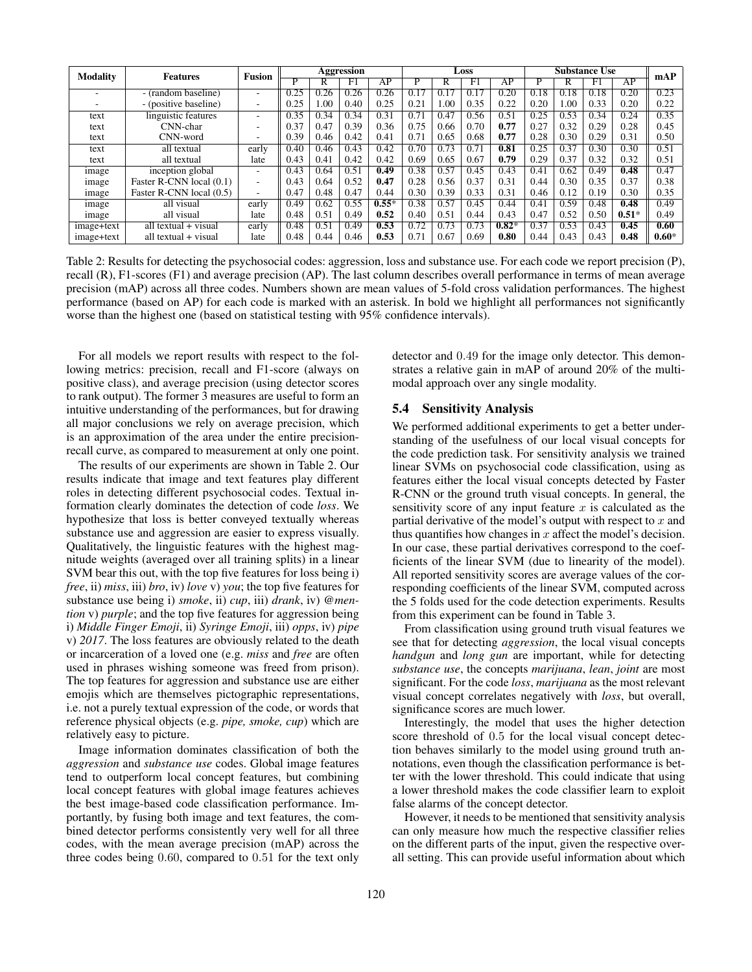| <b>Modality</b><br><b>Features</b> |                          | <b>Fusion</b>            | Aggression        |      |      | Loss    |      |      | <b>Substance Use</b> |         |      | mAP  |      |         |         |
|------------------------------------|--------------------------|--------------------------|-------------------|------|------|---------|------|------|----------------------|---------|------|------|------|---------|---------|
|                                    |                          |                          | P                 | R    | F1   | AP      | P    | R    | F1                   | AP      | P    | R    | F1   | AP      |         |
|                                    | - (random baseline)      | ۰.                       | 0.25              | 0.26 | 0.26 | 0.26    | 0.17 | 0.17 | 0.17                 | 0.20    | 0.18 | 0.18 | 0.18 | 0.20    | 0.23    |
|                                    | - (positive baseline)    | $\overline{\phantom{a}}$ | 0.25              | .00  | 0.40 | 0.25    | 0.21 | 1.00 | 0.35                 | 0.22    | 0.20 | 0.00 | 0.33 | 0.20    | 0.22    |
| text                               | linguistic features      | -                        | 0.35              | 0.34 | 0.34 | 0.31    | 0.71 | 0.47 | 0.56                 | 0.51    | 0.25 | 0.53 | 0.34 | 0.24    | 0.35    |
| text                               | CNN-char                 | ٠                        | 0.37              | 0.47 | 0.39 | 0.36    | 0.75 | 0.66 | 0.70                 | 0.77    | 0.27 | 0.32 | 0.29 | 0.28    | 0.45    |
| text                               | CNN-word                 | $\overline{\phantom{a}}$ | 0.39              | 0.46 | 0.42 | 0.41    | 0.71 | 0.65 | 0.68                 | 0.77    | 0.28 | 0.30 | 0.29 | 0.31    | 0.50    |
| text                               | all textual              | early                    | $0.\overline{40}$ | 0.46 | 0.43 | 0.42    | 0.70 | 0.73 | 0.71                 | 0.81    | 0.25 | 0.37 | 0.30 | 0.30    | 0.51    |
| text                               | all textual              | late                     | 0.43              | 0.41 | 0.42 | 0.42    | 0.69 | 0.65 | 0.67                 | 0.79    | 0.29 | 0.37 | 0.32 | 0.32    | 0.51    |
| image                              | inception global         | $\overline{\phantom{a}}$ | 0.43              | 0.64 | 0.51 | 0.49    | 0.38 | 0.57 | 0.45                 | 0.43    | 0.41 | 0.62 | 0.49 | 0.48    | 0.47    |
| image                              | Faster R-CNN local (0.1) | $\overline{\phantom{a}}$ | 0.43              | 0.64 | 0.52 | 0.47    | 0.28 | 0.56 | 0.37                 | 0.31    | 0.44 | 0.30 | 0.35 | 0.37    | 0.38    |
| image                              | Faster R-CNN local (0.5) | ٠                        | 0.47              | 0.48 | 0.47 | 0.44    | 0.30 | 0.39 | 0.33                 | 0.31    | 0.46 | 0.12 | 0.19 | 0.30    | 0.35    |
| image                              | all visual               | early                    | 0.49              | 0.62 | 0.55 | $0.55*$ | 0.38 | 0.57 | 0.45                 | 0.44    | 0.41 | 0.59 | 0.48 | 0.48    | 0.49    |
| image                              | all visual               | late                     | 0.48              | 0.51 | 0.49 | 0.52    | 0.40 | 0.51 | 0.44                 | 0.43    | 0.47 | 0.52 | 0.50 | $0.51*$ | 0.49    |
| image+text                         | all textual + visual     | early                    | 0.48              | 0.51 | 0.49 | 0.53    | 0.72 | 0.73 | 0.73                 | $0.82*$ | 0.37 | 0.53 | 0.43 | 0.45    | 0.60    |
| image+text                         | all textual + visual     | late                     | 0.48              | 0.44 | 0.46 | 0.53    | 0.71 | 0.67 | 0.69                 | 0.80    | 0.44 | 0.43 | 0.43 | 0.48    | $0.60*$ |

Table 2: Results for detecting the psychosocial codes: aggression, loss and substance use. For each code we report precision (P), recall (R), F1-scores (F1) and average precision (AP). The last column describes overall performance in terms of mean average precision (mAP) across all three codes. Numbers shown are mean values of 5-fold cross validation performances. The highest performance (based on AP) for each code is marked with an asterisk. In bold we highlight all performances not significantly worse than the highest one (based on statistical testing with 95% confidence intervals).

For all models we report results with respect to the following metrics: precision, recall and F1-score (always on positive class), and average precision (using detector scores to rank output). The former 3 measures are useful to form an intuitive understanding of the performances, but for drawing all major conclusions we rely on average precision, which is an approximation of the area under the entire precisionrecall curve, as compared to measurement at only one point.

The results of our experiments are shown in Table 2. Our results indicate that image and text features play different roles in detecting different psychosocial codes. Textual information clearly dominates the detection of code *loss*. We hypothesize that loss is better conveyed textually whereas substance use and aggression are easier to express visually. Qualitatively, the linguistic features with the highest magnitude weights (averaged over all training splits) in a linear SVM bear this out, with the top five features for loss being i) *free*, ii) *miss*, iii) *bro*, iv) *love* v) *you*; the top five features for substance use being i) *smoke*, ii) *cup*, iii) *drank*, iv) *@mention* v) *purple*; and the top five features for aggression being i) *Middle Finger Emoji*, ii) *Syringe Emoji*, iii) *opps*, iv) *pipe* v) *2017*. The loss features are obviously related to the death or incarceration of a loved one (e.g. *miss* and *free* are often used in phrases wishing someone was freed from prison). The top features for aggression and substance use are either emojis which are themselves pictographic representations, i.e. not a purely textual expression of the code, or words that reference physical objects (e.g. *pipe, smoke, cup*) which are relatively easy to picture.

Image information dominates classification of both the *aggression* and *substance use* codes. Global image features tend to outperform local concept features, but combining local concept features with global image features achieves the best image-based code classification performance. Importantly, by fusing both image and text features, the combined detector performs consistently very well for all three codes, with the mean average precision (mAP) across the three codes being 0.60, compared to 0.51 for the text only

detector and 0.49 for the image only detector. This demonstrates a relative gain in mAP of around 20% of the multimodal approach over any single modality.

### 5.4 Sensitivity Analysis

We performed additional experiments to get a better understanding of the usefulness of our local visual concepts for the code prediction task. For sensitivity analysis we trained linear SVMs on psychosocial code classification, using as features either the local visual concepts detected by Faster R-CNN or the ground truth visual concepts. In general, the sensitivity score of any input feature  $x$  is calculated as the partial derivative of the model's output with respect to  $x$  and thus quantifies how changes in  $x$  affect the model's decision. In our case, these partial derivatives correspond to the coefficients of the linear SVM (due to linearity of the model). All reported sensitivity scores are average values of the corresponding coefficients of the linear SVM, computed across the 5 folds used for the code detection experiments. Results from this experiment can be found in Table 3.

From classification using ground truth visual features we see that for detecting *aggression*, the local visual concepts *handgun* and *long gun* are important, while for detecting *substance use*, the concepts *marijuana*, *lean*, *joint* are most significant. For the code *loss*, *marijuana* as the most relevant visual concept correlates negatively with *loss*, but overall, significance scores are much lower.

Interestingly, the model that uses the higher detection score threshold of 0.5 for the local visual concept detection behaves similarly to the model using ground truth annotations, even though the classification performance is better with the lower threshold. This could indicate that using a lower threshold makes the code classifier learn to exploit false alarms of the concept detector.

However, it needs to be mentioned that sensitivity analysis can only measure how much the respective classifier relies on the different parts of the input, given the respective overall setting. This can provide useful information about which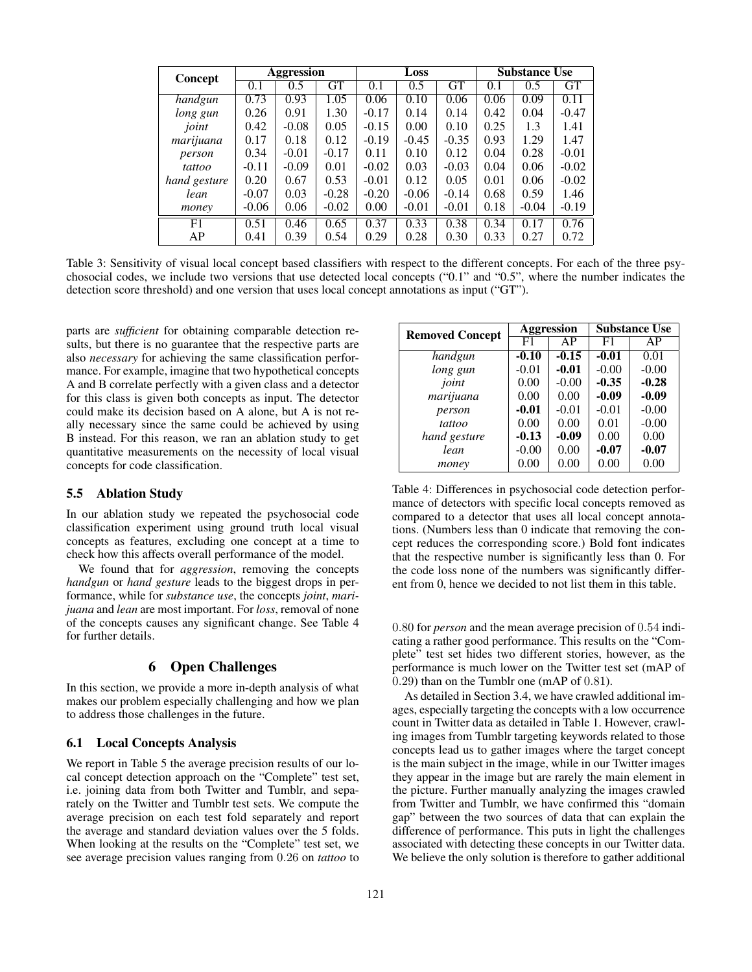| Concept      | Aggression |         |         |         | Loss    |         | <b>Substance Use</b> |         |         |  |
|--------------|------------|---------|---------|---------|---------|---------|----------------------|---------|---------|--|
|              | 0.1        | 0.5     | GT      | 0.1     | 0.5     | GT      | 0.1                  | 0.5     | GТ      |  |
| handgun      | 0.73       | 0.93    | 1.05    | 0.06    | 0.10    | 0.06    | 0.06                 | 0.09    | 0.11    |  |
| long gun     | 0.26       | 0.91    | 1.30    | $-0.17$ | 0.14    | 0.14    | 0.42                 | 0.04    | $-0.47$ |  |
| joint        | 0.42       | $-0.08$ | 0.05    | $-0.15$ | 0.00    | 0.10    | 0.25                 | 1.3     | 1.41    |  |
| marijuana    | 0.17       | 0.18    | 0.12    | $-0.19$ | $-0.45$ | $-0.35$ | 0.93                 | 1.29    | 1.47    |  |
| person       | 0.34       | $-0.01$ | $-0.17$ | 0.11    | 0.10    | 0.12    | 0.04                 | 0.28    | $-0.01$ |  |
| tattoo       | $-0.11$    | $-0.09$ | 0.01    | $-0.02$ | 0.03    | $-0.03$ | 0.04                 | 0.06    | $-0.02$ |  |
| hand gesture | 0.20       | 0.67    | 0.53    | $-0.01$ | 0.12    | 0.05    | 0.01                 | 0.06    | $-0.02$ |  |
| lean         | $-0.07$    | 0.03    | $-0.28$ | $-0.20$ | $-0.06$ | $-0.14$ | 0.68                 | 0.59    | 1.46    |  |
| money        | $-0.06$    | 0.06    | $-0.02$ | 0.00    | $-0.01$ | $-0.01$ | 0.18                 | $-0.04$ | $-0.19$ |  |
| F1           | 0.51       | 0.46    | 0.65    | 0.37    | 0.33    | 0.38    | 0.34                 | 0.17    | 0.76    |  |
| AP           | 0.41       | 0.39    | 0.54    | 0.29    | 0.28    | 0.30    | 0.33                 | 0.27    | 0.72    |  |

Table 3: Sensitivity of visual local concept based classifiers with respect to the different concepts. For each of the three psychosocial codes, we include two versions that use detected local concepts ("0.1" and "0.5", where the number indicates the detection score threshold) and one version that uses local concept annotations as input ("GT").

parts are *sufficient* for obtaining comparable detection results, but there is no guarantee that the respective parts are also *necessary* for achieving the same classification performance. For example, imagine that two hypothetical concepts A and B correlate perfectly with a given class and a detector for this class is given both concepts as input. The detector could make its decision based on A alone, but A is not really necessary since the same could be achieved by using B instead. For this reason, we ran an ablation study to get quantitative measurements on the necessity of local visual concepts for code classification.

#### 5.5 Ablation Study

In our ablation study we repeated the psychosocial code classification experiment using ground truth local visual concepts as features, excluding one concept at a time to check how this affects overall performance of the model.

We found that for *aggression*, removing the concepts *handgun* or *hand gesture* leads to the biggest drops in performance, while for *substance use*, the concepts *joint*, *marijuana* and *lean* are most important. For *loss*, removal of none of the concepts causes any significant change. See Table 4 for further details.

## 6 Open Challenges

In this section, we provide a more in-depth analysis of what makes our problem especially challenging and how we plan to address those challenges in the future.

### 6.1 Local Concepts Analysis

We report in Table 5 the average precision results of our local concept detection approach on the "Complete" test set, i.e. joining data from both Twitter and Tumblr, and separately on the Twitter and Tumblr test sets. We compute the average precision on each test fold separately and report the average and standard deviation values over the 5 folds. When looking at the results on the "Complete" test set, we see average precision values ranging from 0.26 on *tattoo* to

| <b>Removed Concept</b> |         | Aggression | <b>Substance Use</b> |         |  |  |
|------------------------|---------|------------|----------------------|---------|--|--|
|                        | F1      | AP         | F1                   | AP      |  |  |
| handgun                | $-0.10$ | $-0.15$    | $-0.01$              | 0.01    |  |  |
| long gun               | $-0.01$ | $-0.01$    | $-0.00$              | $-0.00$ |  |  |
| joint                  | 0.00    | $-0.00$    | $-0.35$              | $-0.28$ |  |  |
| marijuana              | 0.00    | 0.00       | $-0.09$              | $-0.09$ |  |  |
| person                 | $-0.01$ | $-0.01$    | $-0.01$              | $-0.00$ |  |  |
| tattoo                 | 0.00    | 0.00       | 0.01                 | $-0.00$ |  |  |
| hand gesture           | $-0.13$ | $-0.09$    | 0.00                 | 0.00    |  |  |
| lean                   | $-0.00$ | 0.00       | $-0.07$              | $-0.07$ |  |  |
| money                  | 0.00    | 0.00       | 0.00                 | 0.00    |  |  |

Table 4: Differences in psychosocial code detection performance of detectors with specific local concepts removed as compared to a detector that uses all local concept annotations. (Numbers less than 0 indicate that removing the concept reduces the corresponding score.) Bold font indicates that the respective number is significantly less than 0. For the code loss none of the numbers was significantly different from 0, hence we decided to not list them in this table.

0.80 for *person* and the mean average precision of 0.54 indicating a rather good performance. This results on the "Complete" test set hides two different stories, however, as the performance is much lower on the Twitter test set (mAP of 0.29) than on the Tumblr one (mAP of 0.81).

As detailed in Section 3.4, we have crawled additional images, especially targeting the concepts with a low occurrence count in Twitter data as detailed in Table 1. However, crawling images from Tumblr targeting keywords related to those concepts lead us to gather images where the target concept is the main subject in the image, while in our Twitter images they appear in the image but are rarely the main element in the picture. Further manually analyzing the images crawled from Twitter and Tumblr, we have confirmed this "domain gap" between the two sources of data that can explain the difference of performance. This puts in light the challenges associated with detecting these concepts in our Twitter data. We believe the only solution is therefore to gather additional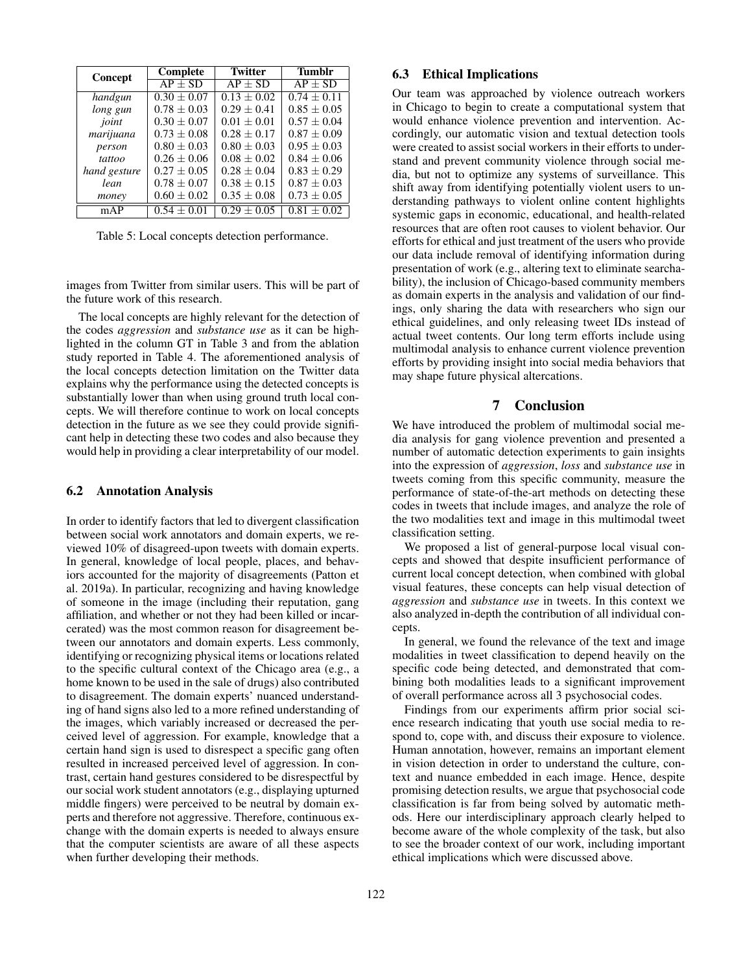| <b>Concept</b> | Complete        | <b>Twitter</b>  | <b>Tumblr</b>   |  |  |
|----------------|-----------------|-----------------|-----------------|--|--|
|                | $AP + SD$       | $AP + SD$       | $AP + SD$       |  |  |
| handgun        | $0.30 + 0.07$   | $0.13 + 0.02$   | $0.74 + 0.11$   |  |  |
| long gun       | $0.78 + 0.03$   | $0.29 \pm 0.41$ | $0.85 + 0.05$   |  |  |
| joint          | $0.30 + 0.07$   | $0.01 + 0.01$   | $0.57 + 0.04$   |  |  |
| marijuana      | $0.73 + 0.08$   | $0.28 + 0.17$   | $0.87 \pm 0.09$ |  |  |
| person         | $0.80 \pm 0.03$ | $0.80 + 0.03$   | $0.95 \pm 0.03$ |  |  |
| tattoo         | $0.26 \pm 0.06$ | $0.08 \pm 0.02$ | $0.84 \pm 0.06$ |  |  |
| hand gesture   | $0.27 + 0.05$   | $0.28 + 0.04$   | $0.83 + 0.29$   |  |  |
| lean           | $0.78 \pm 0.07$ | $0.38 \pm 0.15$ | $0.87 \pm 0.03$ |  |  |
| money          | $0.60 \pm 0.02$ | $0.35 \pm 0.08$ | $0.73 \pm 0.05$ |  |  |
| mAP            | $0.54 \pm 0.01$ | $0.29 + 0.05$   | $0.81 \pm 0.02$ |  |  |

Table 5: Local concepts detection performance.

images from Twitter from similar users. This will be part of the future work of this research.

The local concepts are highly relevant for the detection of the codes *aggression* and *substance use* as it can be highlighted in the column GT in Table 3 and from the ablation study reported in Table 4. The aforementioned analysis of the local concepts detection limitation on the Twitter data explains why the performance using the detected concepts is substantially lower than when using ground truth local concepts. We will therefore continue to work on local concepts detection in the future as we see they could provide significant help in detecting these two codes and also because they would help in providing a clear interpretability of our model.

#### 6.2 Annotation Analysis

In order to identify factors that led to divergent classification between social work annotators and domain experts, we reviewed 10% of disagreed-upon tweets with domain experts. In general, knowledge of local people, places, and behaviors accounted for the majority of disagreements (Patton et al. 2019a). In particular, recognizing and having knowledge of someone in the image (including their reputation, gang affiliation, and whether or not they had been killed or incarcerated) was the most common reason for disagreement between our annotators and domain experts. Less commonly, identifying or recognizing physical items or locations related to the specific cultural context of the Chicago area (e.g., a home known to be used in the sale of drugs) also contributed to disagreement. The domain experts' nuanced understanding of hand signs also led to a more refined understanding of the images, which variably increased or decreased the perceived level of aggression. For example, knowledge that a certain hand sign is used to disrespect a specific gang often resulted in increased perceived level of aggression. In contrast, certain hand gestures considered to be disrespectful by our social work student annotators (e.g., displaying upturned middle fingers) were perceived to be neutral by domain experts and therefore not aggressive. Therefore, continuous exchange with the domain experts is needed to always ensure that the computer scientists are aware of all these aspects when further developing their methods.

## 6.3 Ethical Implications

Our team was approached by violence outreach workers in Chicago to begin to create a computational system that would enhance violence prevention and intervention. Accordingly, our automatic vision and textual detection tools were created to assist social workers in their efforts to understand and prevent community violence through social media, but not to optimize any systems of surveillance. This shift away from identifying potentially violent users to understanding pathways to violent online content highlights systemic gaps in economic, educational, and health-related resources that are often root causes to violent behavior. Our efforts for ethical and just treatment of the users who provide our data include removal of identifying information during presentation of work (e.g., altering text to eliminate searchability), the inclusion of Chicago-based community members as domain experts in the analysis and validation of our findings, only sharing the data with researchers who sign our ethical guidelines, and only releasing tweet IDs instead of actual tweet contents. Our long term efforts include using multimodal analysis to enhance current violence prevention efforts by providing insight into social media behaviors that may shape future physical altercations.

## 7 Conclusion

We have introduced the problem of multimodal social media analysis for gang violence prevention and presented a number of automatic detection experiments to gain insights into the expression of *aggression*, *loss* and *substance use* in tweets coming from this specific community, measure the performance of state-of-the-art methods on detecting these codes in tweets that include images, and analyze the role of the two modalities text and image in this multimodal tweet classification setting.

We proposed a list of general-purpose local visual concepts and showed that despite insufficient performance of current local concept detection, when combined with global visual features, these concepts can help visual detection of *aggression* and *substance use* in tweets. In this context we also analyzed in-depth the contribution of all individual concepts.

In general, we found the relevance of the text and image modalities in tweet classification to depend heavily on the specific code being detected, and demonstrated that combining both modalities leads to a significant improvement of overall performance across all 3 psychosocial codes.

Findings from our experiments affirm prior social science research indicating that youth use social media to respond to, cope with, and discuss their exposure to violence. Human annotation, however, remains an important element in vision detection in order to understand the culture, context and nuance embedded in each image. Hence, despite promising detection results, we argue that psychosocial code classification is far from being solved by automatic methods. Here our interdisciplinary approach clearly helped to become aware of the whole complexity of the task, but also to see the broader context of our work, including important ethical implications which were discussed above.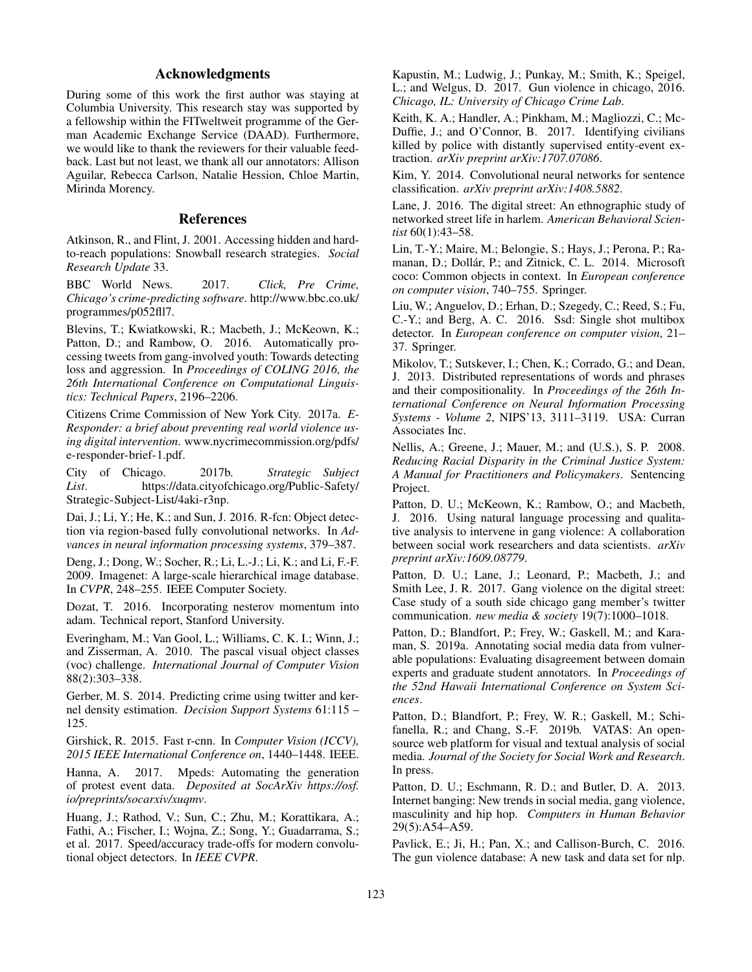## Acknowledgments

During some of this work the first author was staying at Columbia University. This research stay was supported by a fellowship within the FITweltweit programme of the German Academic Exchange Service (DAAD). Furthermore, we would like to thank the reviewers for their valuable feedback. Last but not least, we thank all our annotators: Allison Aguilar, Rebecca Carlson, Natalie Hession, Chloe Martin, Mirinda Morency.

### References

Atkinson, R., and Flint, J. 2001. Accessing hidden and hardto-reach populations: Snowball research strategies. *Social Research Update* 33.

BBC World News. 2017. *Click, Pre Crime, Chicago's crime-predicting software*. http://www.bbc.co.uk/ programmes/p052fll7.

Blevins, T.; Kwiatkowski, R.; Macbeth, J.; McKeown, K.; Patton, D.; and Rambow, O. 2016. Automatically processing tweets from gang-involved youth: Towards detecting loss and aggression. In *Proceedings of COLING 2016, the 26th International Conference on Computational Linguistics: Technical Papers*, 2196–2206.

Citizens Crime Commission of New York City. 2017a. *E-Responder: a brief about preventing real world violence using digital intervention*. www.nycrimecommission.org/pdfs/ e-responder-brief-1.pdf.

City of Chicago. 2017b. *Strategic Subject List*. https://data.cityofchicago.org/Public-Safety/ Strategic-Subject-List/4aki-r3np.

Dai, J.; Li, Y.; He, K.; and Sun, J. 2016. R-fcn: Object detection via region-based fully convolutional networks. In *Advances in neural information processing systems*, 379–387.

Deng, J.; Dong, W.; Socher, R.; Li, L.-J.; Li, K.; and Li, F.-F. 2009. Imagenet: A large-scale hierarchical image database. In *CVPR*, 248–255. IEEE Computer Society.

Dozat, T. 2016. Incorporating nesterov momentum into adam. Technical report, Stanford University.

Everingham, M.; Van Gool, L.; Williams, C. K. I.; Winn, J.; and Zisserman, A. 2010. The pascal visual object classes (voc) challenge. *International Journal of Computer Vision* 88(2):303–338.

Gerber, M. S. 2014. Predicting crime using twitter and kernel density estimation. *Decision Support Systems* 61:115 – 125.

Girshick, R. 2015. Fast r-cnn. In *Computer Vision (ICCV), 2015 IEEE International Conference on*, 1440–1448. IEEE.

Hanna, A. 2017. Mpeds: Automating the generation of protest event data. *Deposited at SocArXiv https://osf. io/preprints/socarxiv/xuqmv*.

Huang, J.; Rathod, V.; Sun, C.; Zhu, M.; Korattikara, A.; Fathi, A.; Fischer, I.; Wojna, Z.; Song, Y.; Guadarrama, S.; et al. 2017. Speed/accuracy trade-offs for modern convolutional object detectors. In *IEEE CVPR*.

Kapustin, M.; Ludwig, J.; Punkay, M.; Smith, K.; Speigel, L.; and Welgus, D. 2017. Gun violence in chicago, 2016. *Chicago, IL: University of Chicago Crime Lab*.

Keith, K. A.; Handler, A.; Pinkham, M.; Magliozzi, C.; Mc-Duffie, J.; and O'Connor, B. 2017. Identifying civilians killed by police with distantly supervised entity-event extraction. *arXiv preprint arXiv:1707.07086*.

Kim, Y. 2014. Convolutional neural networks for sentence classification. *arXiv preprint arXiv:1408.5882*.

Lane, J. 2016. The digital street: An ethnographic study of networked street life in harlem. *American Behavioral Scientist* 60(1):43–58.

Lin, T.-Y.; Maire, M.; Belongie, S.; Hays, J.; Perona, P.; Ramanan, D.; Dollár, P.; and Zitnick, C. L. 2014. Microsoft coco: Common objects in context. In *European conference on computer vision*, 740–755. Springer.

Liu, W.; Anguelov, D.; Erhan, D.; Szegedy, C.; Reed, S.; Fu, C.-Y.; and Berg, A. C. 2016. Ssd: Single shot multibox detector. In *European conference on computer vision*, 21– 37. Springer.

Mikolov, T.; Sutskever, I.; Chen, K.; Corrado, G.; and Dean, J. 2013. Distributed representations of words and phrases and their compositionality. In *Proceedings of the 26th International Conference on Neural Information Processing Systems - Volume 2*, NIPS'13, 3111–3119. USA: Curran Associates Inc.

Nellis, A.; Greene, J.; Mauer, M.; and (U.S.), S. P. 2008. *Reducing Racial Disparity in the Criminal Justice System: A Manual for Practitioners and Policymakers*. Sentencing Project.

Patton, D. U.; McKeown, K.; Rambow, O.; and Macbeth, J. 2016. Using natural language processing and qualitative analysis to intervene in gang violence: A collaboration between social work researchers and data scientists. *arXiv preprint arXiv:1609.08779*.

Patton, D. U.; Lane, J.; Leonard, P.; Macbeth, J.; and Smith Lee, J. R. 2017. Gang violence on the digital street: Case study of a south side chicago gang member's twitter communication. *new media & society* 19(7):1000–1018.

Patton, D.; Blandfort, P.; Frey, W.; Gaskell, M.; and Karaman, S. 2019a. Annotating social media data from vulnerable populations: Evaluating disagreement between domain experts and graduate student annotators. In *Proceedings of the 52nd Hawaii International Conference on System Sciences*.

Patton, D.; Blandfort, P.; Frey, W. R.; Gaskell, M.; Schifanella, R.; and Chang, S.-F. 2019b. VATAS: An opensource web platform for visual and textual analysis of social media. *Journal of the Society for Social Work and Research*. In press.

Patton, D. U.; Eschmann, R. D.; and Butler, D. A. 2013. Internet banging: New trends in social media, gang violence, masculinity and hip hop. *Computers in Human Behavior* 29(5):A54–A59.

Pavlick, E.; Ji, H.; Pan, X.; and Callison-Burch, C. 2016. The gun violence database: A new task and data set for nlp.